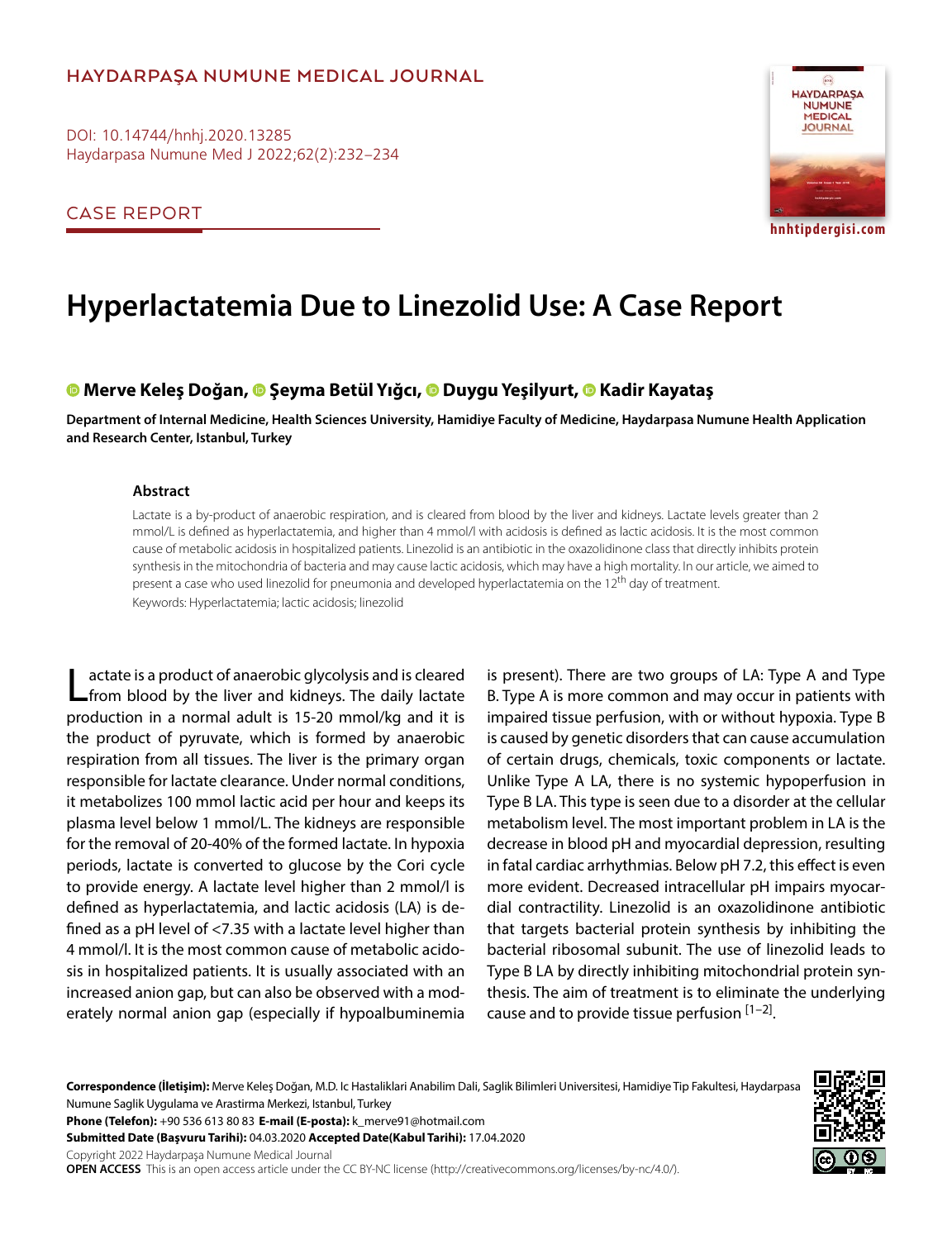# **HAYDARPAŞA NUMUNE MEDICAL JOURNAL**

DOI: 10.14744/hnhj.2020.13285 Haydarpasa Numune Med J 2022;62(2):232–234

CASE REPORT



# **Hyperlactatemia Due to Linezolid Use: A Case Report**

# **Merve Keleş Doğan,Şeyma Betül Yığcı,Duygu Yeşilyurt, [K](https://orcid.org/0000-0003-2806-2636
)adir Kayataş**

**Department of Internal Medicine, Health Sciences University, Hamidiye Faculty of Medicine, Haydarpasa Numune Health Application and Research Center, Istanbul, Turkey**

#### **Abstract**

Lactate is a by-product of anaerobic respiration, and is cleared from blood by the liver and kidneys. Lactate levels greater than 2 mmol/L is defined as hyperlactatemia, and higher than 4 mmol/l with acidosis is defined as lactic acidosis. It is the most common cause of metabolic acidosis in hospitalized patients. Linezolid is an antibiotic in the oxazolidinone class that directly inhibits protein synthesis in the mitochondria of bacteria and may cause lactic acidosis, which may have a high mortality. In our article, we aimed to present a case who used linezolid for pneumonia and developed hyperlactatemia on the 12<sup>th</sup> day of treatment. Keywords: Hyperlactatemia; lactic acidosis; linezolid

actate is a product of anaerobic glycolysis and is cleared from blood by the liver and kidneys. The daily lactate production in a normal adult is 15-20 mmol/kg and it is the product of pyruvate, which is formed by anaerobic respiration from all tissues. The liver is the primary organ responsible for lactate clearance. Under normal conditions, it metabolizes 100 mmol lactic acid per hour and keeps its plasma level below 1 mmol/L. The kidneys are responsible for the removal of 20-40% of the formed lactate. In hypoxia periods, lactate is converted to glucose by the Cori cycle to provide energy. A lactate level higher than 2 mmol/l is defined as hyperlactatemia, and lactic acidosis (LA) is defined as a pH level of <7.35 with a lactate level higher than 4 mmol/l. It is the most common cause of metabolic acidosis in hospitalized patients. It is usually associated with an increased anion gap, but can also be observed with a moderately normal anion gap (especially if hypoalbuminemia

is present). There are two groups of LA: Type A and Type B. Type A is more common and may occur in patients with impaired tissue perfusion, with or without hypoxia. Type B is caused by genetic disorders that can cause accumulation of certain drugs, chemicals, toxic components or lactate. Unlike Type A LA, there is no systemic hypoperfusion in Type B LA. This type is seen due to a disorder at the cellular metabolism level. The most important problem in LA is the decrease in blood pH and myocardial depression, resulting in fatal cardiac arrhythmias. Below pH 7.2, this effect is even more evident. Decreased intracellular pH impairs myocardial contractility. Linezolid is an oxazolidinone antibiotic that targets bacterial protein synthesis by inhibiting the bacterial ribosomal subunit. The use of linezolid leads to Type B LA by directly inhibiting mitochondrial protein synthesis. The aim of treatment is to eliminate the underlying cause and to provide tissue perfusion  $[1-2]$ .

**Correspondence (İletişim):** Merve Keleş Doğan, M.D. Ic Hastaliklari Anabilim Dali, Saglik Bilimleri Universitesi, Hamidiye Tip Fakultesi, Haydarpasa Numune Saglik Uygulama ve Arastirma Merkezi, Istanbul, Turkey

**Phone (Telefon):** +90 536 613 80 83 **E-mail (E-posta):** k\_merve91@hotmail.com

**Submitted Date (Başvuru Tarihi):** 04.03.2020 **Accepted Date(Kabul Tarihi):** 17.04.2020

Copyright 2022 Haydarpaşa Numune Medical Journal

**OPEN ACCESS** This is an open access article under the CC BY-NC license (http://creativecommons.org/licenses/by-nc/4.0/).

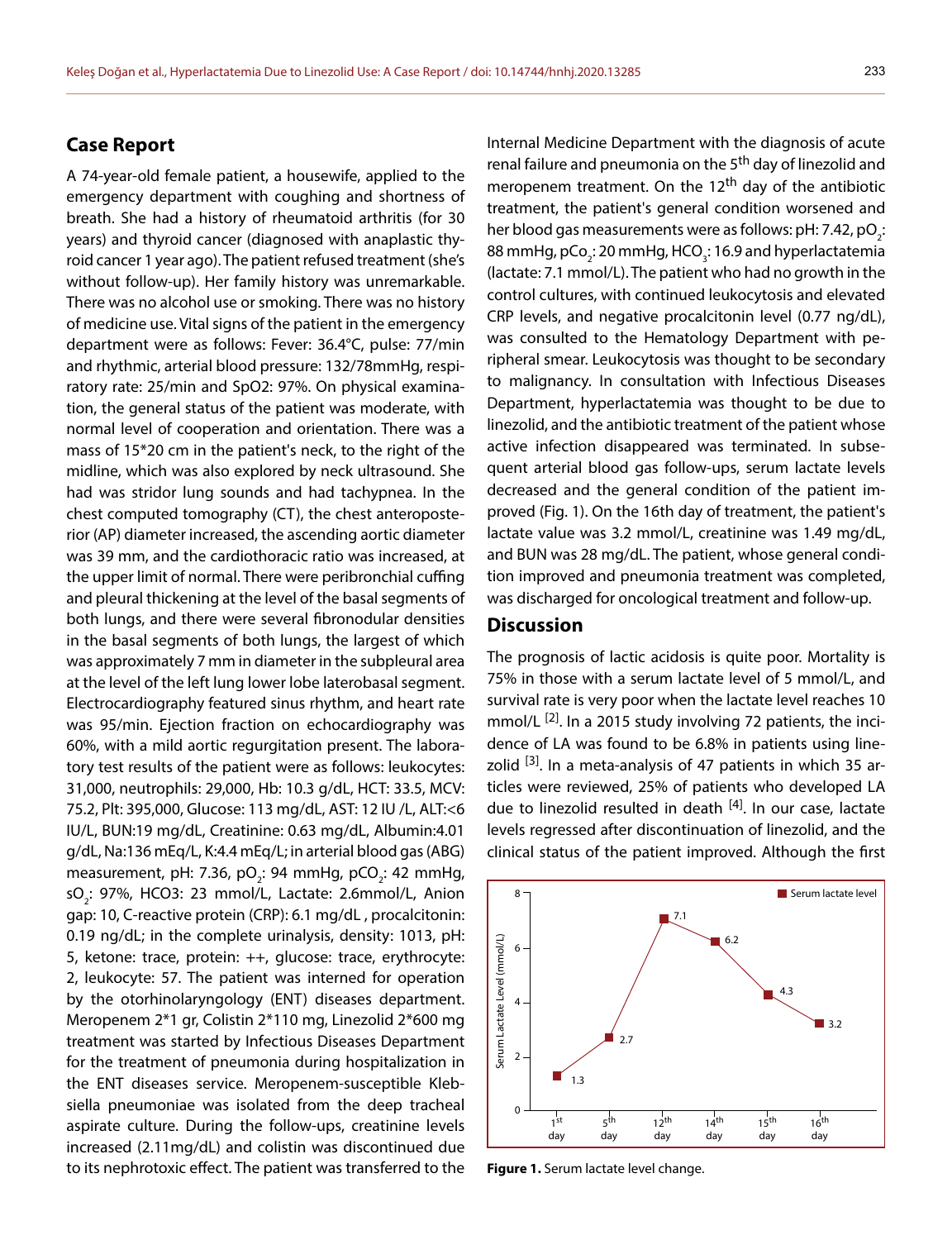## **Case Report**

A 74-year-old female patient, a housewife, applied to the emergency department with coughing and shortness of breath. She had a history of rheumatoid arthritis (for 30 years) and thyroid cancer (diagnosed with anaplastic thyroid cancer 1 year ago). The patient refused treatment (she's without follow-up). Her family history was unremarkable. There was no alcohol use or smoking. There was no history of medicine use. Vital signs of the patient in the emergency department were as follows: Fever: 36.4°C, pulse: 77/min and rhythmic, arterial blood pressure: 132/78mmHg, respiratory rate: 25/min and SpO2: 97%. On physical examination, the general status of the patient was moderate, with normal level of cooperation and orientation. There was a mass of 15\*20 cm in the patient's neck, to the right of the midline, which was also explored by neck ultrasound. She had was stridor lung sounds and had tachypnea. In the chest computed tomography (CT), the chest anteroposterior (AP) diameter increased, the ascending aortic diameter was 39 mm, and the cardiothoracic ratio was increased, at the upper limit of normal. There were peribronchial cuffing and pleural thickening at the level of the basal segments of both lungs, and there were several fibronodular densities in the basal segments of both lungs, the largest of which was approximately 7 mm in diameter in the subpleural area at the level of the left lung lower lobe laterobasal segment. Electrocardiography featured sinus rhythm, and heart rate was 95/min. Ejection fraction on echocardiography was 60%, with a mild aortic regurgitation present. The laboratory test results of the patient were as follows: leukocytes: 31,000, neutrophils: 29,000, Hb: 10.3 g/dL, HCT: 33.5, MCV: 75.2, Plt: 395,000, Glucose: 113 mg/dL, AST: 12 IU /L, ALT:<6 IU/L, BUN:19 mg/dL, Creatinine: 0.63 mg/dL, Albumin:4.01 g/dL, Na:136 mEq/L, K:4.4 mEq/L; in arterial blood gas (ABG) measurement, pH: 7.36, pO<sub>2</sub>: 94 mmHg, pCO<sub>2</sub>: 42 mmHg, sO<sub>2</sub>: 97%, HCO3: 23 mmol/L, Lactate: 2.6mmol/L, Anion gap: 10, C-reactive protein (CRP): 6.1 mg/dL , procalcitonin: 0.19 ng/dL; in the complete urinalysis, density: 1013, pH: 5, ketone: trace, protein: ++, glucose: trace, erythrocyte: 2, leukocyte: 57. The patient was interned for operation by the otorhinolaryngology (ENT) diseases department. Meropenem 2\*1 gr, Colistin 2\*110 mg, Linezolid 2\*600 mg treatment was started by Infectious Diseases Department for the treatment of pneumonia during hospitalization in the ENT diseases service. Meropenem-susceptible Klebsiella pneumoniae was isolated from the deep tracheal aspirate culture. During the follow-ups, creatinine levels increased (2.11mg/dL) and colistin was discontinued due to its nephrotoxic effect. The patient was transferred to the Internal Medicine Department with the diagnosis of acute renal failure and pneumonia on the 5<sup>th</sup> day of linezolid and meropenem treatment. On the 12<sup>th</sup> day of the antibiotic treatment, the patient's general condition worsened and her blood gas measurements were as follows: pH: 7.42, pO<sub>2</sub>: 88 mmHg, pCo<sub>2</sub>: 20 mmHg, HCO<sub>3</sub>: 16.9 and hyperlactatemia (lactate: 7.1 mmol/L). The patient who had no growth in the control cultures, with continued leukocytosis and elevated CRP levels, and negative procalcitonin level (0.77 ng/dL), was consulted to the Hematology Department with peripheral smear. Leukocytosis was thought to be secondary to malignancy. In consultation with Infectious Diseases Department, hyperlactatemia was thought to be due to linezolid, and the antibiotic treatment of the patient whose active infection disappeared was terminated. In subsequent arterial blood gas follow-ups, serum lactate levels decreased and the general condition of the patient improved (Fig. 1). On the 16th day of treatment, the patient's lactate value was 3.2 mmol/L, creatinine was 1.49 mg/dL, and BUN was 28 mg/dL. The patient, whose general condition improved and pneumonia treatment was completed, was discharged for oncological treatment and follow-up.

## **Discussion**

The prognosis of lactic acidosis is quite poor. Mortality is 75% in those with a serum lactate level of 5 mmol/L, and survival rate is very poor when the lactate level reaches 10 mmol/L  $^{[2]}$ . In a 2015 study involving 72 patients, the incidence of LA was found to be 6.8% in patients using linezolid  $[3]$ . In a meta-analysis of 47 patients in which 35 articles were reviewed, 25% of patients who developed LA due to linezolid resulted in death  $[4]$ . In our case, lactate levels regressed after discontinuation of linezolid, and the clinical status of the patient improved. Although the first